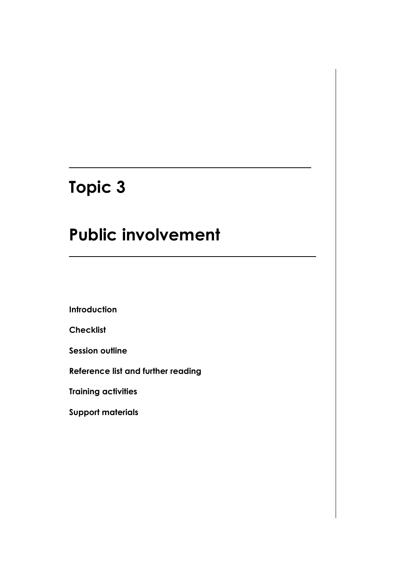# **Topic 3**

# **Public involvement**

**Introduction**

**Checklist**

**Session outline**

**Reference list and further reading**

**Training activities**

**Support materials**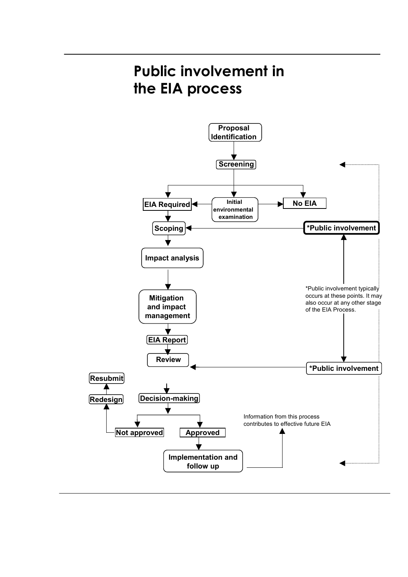# **Public involvement in the EIA process**

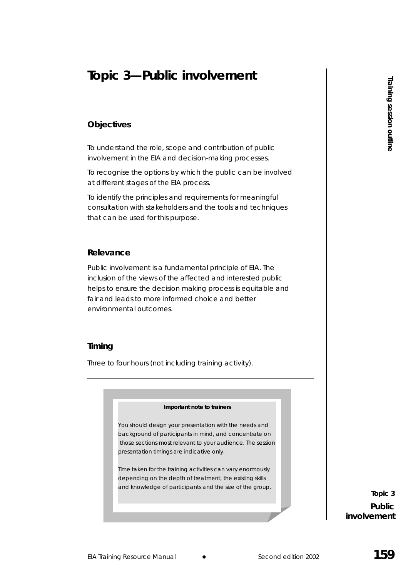## **Topic 3—Public involvement**

## **Objectives**

To understand the role, scope and contribution of public involvement in the EIA and decision-making processes.

To recognise the options by which the public can be involved at different stages of the EIA process.

To identify the principles and requirements for meaningful consultation with stakeholders and the tools and techniques that can be used for this purpose.

## **Relevance**

Experimental training Resource Manual Constrainers of the stress of the stress of the stress of the stress of the stress of the stress of the stress of the stress of the stress of the stress of the stress of the stress of Public involvement is a fundamental principle of EIA. The inclusion of the views of the affected and interested public helps to ensure the decision making process is equitable and fair and leads to more informed choice and better environmental outcomes.

### **Timing**

Three to four hours (not including training activity).

#### *Important note to trainers*

*You should design your presentation with the needs and background of participants in mind, and concentrate on those sections most relevant to your audience. The session presentation timings are indicative only.* 

*Time taken for the training activities can vary enormously depending on the depth of treatment, the existing skills and knowledge of participants and the size of the group.*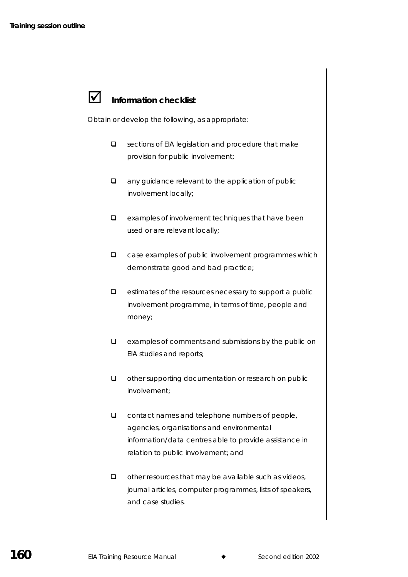## **Information checklist**

Obtain or develop the following, as appropriate:

- $\square$  sections of EIA legislation and procedure that make provision for public involvement;
- $\Box$  any guidance relevant to the application of public involvement locally;
- $\Box$  examples of involvement techniques that have been used or are relevant locally;
- $\Box$  case examples of public involvement programmes which demonstrate good and bad practice;
- $\Box$  estimates of the resources necessary to support a public involvement programme, in terms of time, people and money;
- $\Box$  examples of comments and submissions by the public on EIA studies and reports;
- $\Box$  other supporting documentation or research on public involvement;
- □ contact names and telephone numbers of people, agencies, organisations and environmental information/data centres able to provide assistance in relation to public involvement; and
- $\Box$  other resources that may be available such as videos, journal articles, computer programmes, lists of speakers, and case studies.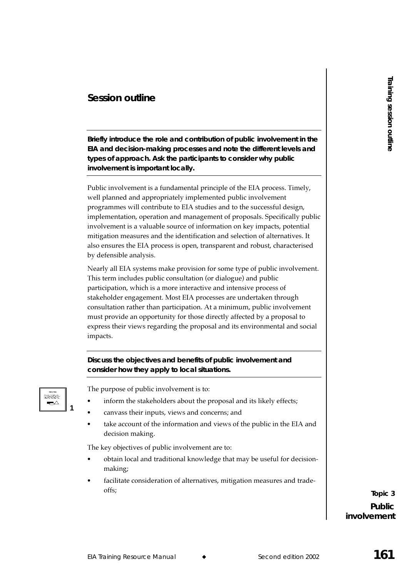## **Session outline**

**Briefly introduce the role and contribution of public involvement in the EIA and decision-making processes and note the different levels and types of approach. Ask the participants to consider why public involvement is important locally.** 

**EXERICAT CONDUCTE:**<br> **EXERICAT TRANSPORT CONSULTS AND ANOTEST CONSULTS AND ANOTEST CONSULTS AND ANOTEST CONSULTS AND NOTEST CONSULTS AND NOTEST CONSULTS AND NOTEST CONSULTS AND NOTEST CONSULTS AND NOTEST CONSULTS AND NOT** Public involvement is a fundamental principle of the EIA process. Timely, well planned and appropriately implemented public involvement programmes will contribute to EIA studies and to the successful design, implementation, operation and management of proposals. Specifically public involvement is a valuable source of information on key impacts, potential mitigation measures and the identification and selection of alternatives. It also ensures the EIA process is open, transparent and robust, characterised by defensible analysis.

Nearly all EIA systems make provision for some type of public involvement. This term includes public consultation (or dialogue) and public participation, which is a more interactive and intensive process of stakeholder engagement. Most EIA processes are undertaken through consultation rather than participation. At a minimum, public involvement must provide an opportunity for those directly affected by a proposal to express their views regarding the proposal and its environmental and social impacts.

**Discuss the objectives and benefits of public involvement and consider how they apply to local situations.** 

| <b>SIMMY1M</b><br>Store Sec. 2.4.2. Sec. 23 Sec. |  |
|--------------------------------------------------|--|
| <b>SACTOS</b>                                    |  |
|                                                  |  |
|                                                  |  |

The purpose of public involvement is to:

- inform the stakeholders about the proposal and its likely effects;
- canvass their inputs, views and concerns; and
- take account of the information and views of the public in the EIA and decision making.

The key objectives of public involvement are to:

- obtain local and traditional knowledge that may be useful for decisionmaking;
- facilitate consideration of alternatives, mitigation measures and tradeoffs;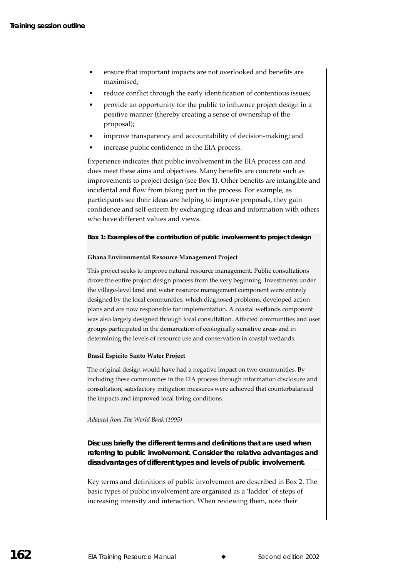- ensure that important impacts are not overlooked and benefits are maximised:
- reduce conflict through the early identification of contentious issues;
- provide an opportunity for the public to influence project design in a positive manner (thereby creating a sense of ownership of the proposal);
- improve transparency and accountability of decision-making; and
- increase public confidence in the EIA process.

Experience indicates that public involvement in the EIA process can and does meet these aims and objectives. Many benefits are concrete such as improvements to project design (see Box 1). Other benefits are intangible and incidental and flow from taking part in the process. For example, as participants see their ideas are helping to improve proposals, they gain confidence and self-esteem by exchanging ideas and information with others who have different values and views.

#### **Box 1: Examples of the contribution of public involvement to project design**

#### Ghana Environmental Resource Management Project

This project seeks to improve natural resource management. Public consultations drove the entire project design process from the very beginning. Investments under the village-level land and water resource management component were entirely designed by the local communities, which diagnosed problems, developed action plans and are now responsible for implementation. A coastal wetlands component was also largely designed through local consultation. Affected communities and user groups participated in the demarcation of ecologically sensitive areas and in determining the levels of resource use and conservation in coastal wetlands.

#### Brasil Espirito Santo Water Project

The original design would have had a negative impact on two communities. By including these communities in the EIA process through information disclosure and consultation, satisfactory mitigation measures were achieved that counterbalanced the impacts and improved local living conditions.

#### Adapted from The World Bank (1995)

**Discuss briefly the different terms and definitions that are used when referring to public involvement. Consider the relative advantages and disadvantages of different types and levels of public involvement.** 

Key terms and definitions of public involvement are described in Box 2. The basic types of public involvement are organised as a 'ladder' of steps of increasing intensity and interaction. When reviewing them, note their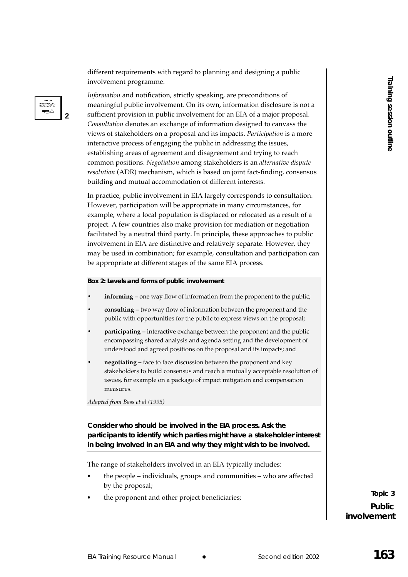different requirements with regard to planning and designing a public involvement programme.

Information and notification, strictly speaking, are preconditions of meaningful public involvement. On its own, information disclosure is not a sufficient provision in public involvement for an EIA of a major proposal. Consultation denotes an exchange of information designed to canvass the views of stakeholders on a proposal and its impacts. Participation is a more interactive process of engaging the public in addressing the issues, establishing areas of agreement and disagreement and trying to reach common positions. Negotiation among stakeholders is an alternative dispute resolution (ADR) mechanism, which is based on joint fact-finding, consensus building and mutual accommodation of different interests.

In practice, public involvement in EIA largely corresponds to consultation. However, participation will be appropriate in many circumstances, for example, where a local population is displaced or relocated as a result of a project. A few countries also make provision for mediation or negotiation facilitated by a neutral third party. In principle, these approaches to public involvement in EIA are distinctive and relatively separate. However, they may be used in combination; for example, consultation and participation can be appropriate at different stages of the same EIA process.

#### Box 2: Levels and forms of public involvement

- **informing** one way flow of information from the proponent to the public;
- consulting two way flow of information between the proponent and the public with opportunities for the public to express views on the proposal;
- participating interactive exchange between the proponent and the public encompassing shared analysis and agenda setting and the development of understood and agreed positions on the proposal and its impacts; and
- negotiating face to face discussion between the proponent and key stakeholders to build consensus and reach a mutually acceptable resolution of issues, for example on a package of impact mitigation and compensation measures.

Adapted from Bass et al (1995)

bisich

 $\blacktriangleright$ 

C

Consider who should be involved in the EIA process. Ask the participants to identify which parties might have a stakeholder interest in being involved in an EIA and why they might wish to be involved.

The range of stakeholders involved in an EIA typically includes:

- the people individuals, groups and communities who are affected by the proposal;
- the proponent and other project beneficiaries;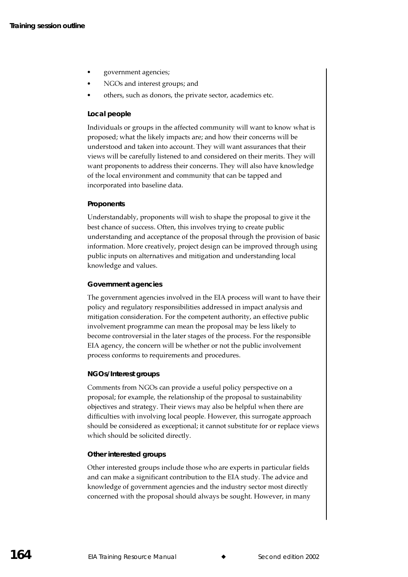- government agencies;
- NGOs and interest groups; and
- others, such as donors, the private sector, academics etc.

#### Local people

Individuals or groups in the affected community will want to know what is proposed; what the likely impacts are; and how their concerns will be understood and taken into account. They will want assurances that their views will be carefully listened to and considered on their merits. They will want proponents to address their concerns. They will also have knowledge of the local environment and community that can be tapped and incorporated into baseline data.

#### Proponents

Understandably, proponents will wish to shape the proposal to give it the best chance of success. Often, this involves trying to create public understanding and acceptance of the proposal through the provision of basic information. More creatively, project design can be improved through using public inputs on alternatives and mitigation and understanding local knowledge and values.

#### **Government agencies**

The government agencies involved in the EIA process will want to have their policy and regulatory responsibilities addressed in impact analysis and mitigation consideration. For the competent authority, an effective public involvement programme can mean the proposal may be less likely to become controversial in the later stages of the process. For the responsible EIA agency, the concern will be whether or not the public involvement process conforms to requirements and procedures.

#### **NGOs/Interest groups**

Comments from NGOs can provide a useful policy perspective on a proposal; for example, the relationship of the proposal to sustainability objectives and strategy. Their views may also be helpful when there are difficulties with involving local people. However, this surrogate approach should be considered as exceptional; it cannot substitute for or replace views which should be solicited directly.

#### Other interested groups

Other interested groups include those who are experts in particular fields and can make a significant contribution to the EIA study. The advice and knowledge of government agencies and the industry sector most directly concerned with the proposal should always be sought. However, in many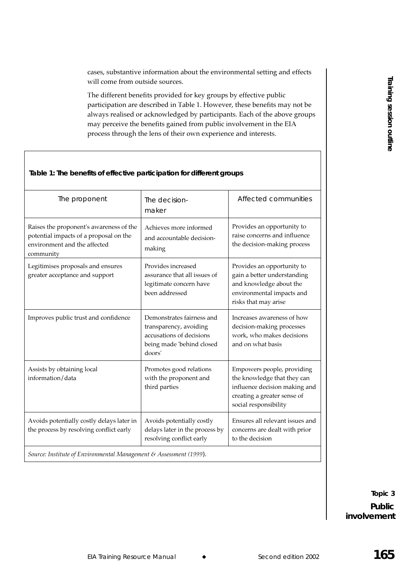cases, substantive information about the environmental setting and effects will come from outside sources.

The different benefits provided for key groups by effective public participation are described in Table 1. However, these benefits may not be always realised or acknowledged by participants. Each of the above groups may perceive the benefits gained from public involvement in the EIA process through the lens of their own experience and interests.

#### Table 1: The benefits of effective participation for different groups

| The proponent                                                                                                                  | The decision-<br>maker                                                                                                 | Affected communities                                                                                                                               |  |  |  |
|--------------------------------------------------------------------------------------------------------------------------------|------------------------------------------------------------------------------------------------------------------------|----------------------------------------------------------------------------------------------------------------------------------------------------|--|--|--|
| Raises the proponent's awareness of the<br>potential impacts of a proposal on the<br>environment and the affected<br>community | Achieves more informed<br>and accountable decision-<br>making                                                          | Provides an opportunity to<br>raise concerns and influence<br>the decision-making process                                                          |  |  |  |
| Legitimises proposals and ensures<br>greater acceptance and support                                                            | Provides increased<br>assurance that all issues of<br>legitimate concern have<br>been addressed                        | Provides an opportunity to<br>gain a better understanding<br>and knowledge about the<br>environmental impacts and<br>risks that may arise          |  |  |  |
| Improves public trust and confidence                                                                                           | Demonstrates fairness and<br>transparency, avoiding<br>accusations of decisions<br>being made 'behind closed<br>doors' | Increases awareness of how<br>decision-making processes<br>work, who makes decisions<br>and on what basis                                          |  |  |  |
| Assists by obtaining local<br>information/data                                                                                 | Promotes good relations<br>with the proponent and<br>third parties                                                     | Empowers people, providing<br>the knowledge that they can<br>influence decision making and<br>creating a greater sense of<br>social responsibility |  |  |  |
| Avoids potentially costly delays later in<br>the process by resolving conflict early                                           | Avoids potentially costly<br>delays later in the process by<br>resolving conflict early                                | Ensures all relevant issues and<br>concerns are dealt with prior<br>to the decision                                                                |  |  |  |
| Source: Institute of Environmental Management & Assessment (1999).                                                             |                                                                                                                        |                                                                                                                                                    |  |  |  |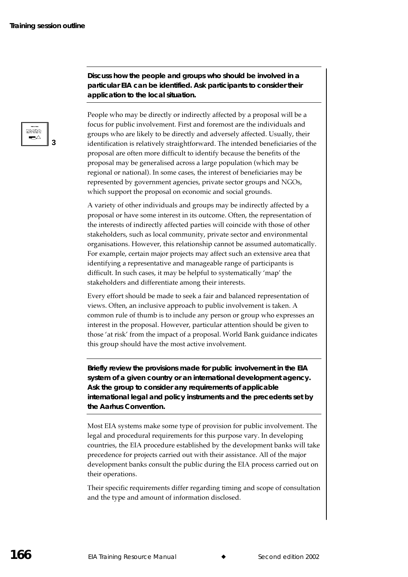Discuss how the people and groups who should be involved in a particular EIA can be identified. Ask participants to consider their application to the local situation.

People who may be directly or indirectly affected by a proposal will be a focus for public involvement. First and foremost are the individuals and groups who are likely to be directly and adversely affected. Usually, their identification is relatively straightforward. The intended beneficiaries of the proposal are often more difficult to identify because the benefits of the proposal may be generalised across a large population (which may be regional or national). In some cases, the interest of beneficiaries may be represented by government agencies, private sector groups and NGOs, which support the proposal on economic and social grounds.

A variety of other individuals and groups may be indirectly affected by a proposal or have some interest in its outcome. Often, the representation of the interests of indirectly affected parties will coincide with those of other stakeholders, such as local community, private sector and environmental organisations. However, this relationship cannot be assumed automatically. For example, certain major projects may affect such an extensive area that identifying a representative and manageable range of participants is difficult. In such cases, it may be helpful to systematically 'map' the stakeholders and differentiate among their interests.

Every effort should be made to seek a fair and balanced representation of views. Often, an inclusive approach to public involvement is taken. A common rule of thumb is to include any person or group who expresses an interest in the proposal. However, particular attention should be given to those 'at risk' from the impact of a proposal. World Bank guidance indicates this group should have the most active involvement.

Briefly review the provisions made for public involvement in the EIA system of a given country or an international development agency. Ask the group to consider any requirements of applicable international legal and policy instruments and the precedents set by the Aarhus Convention.

Most EIA systems make some type of provision for public involvement. The legal and procedural requirements for this purpose vary. In developing countries, the EIA procedure established by the development banks will take precedence for projects carried out with their assistance. All of the major development banks consult the public during the EIA process carried out on their operations.

Their specific requirements differ regarding timing and scope of consultation and the type and amount of information disclosed.

iithict ▰◠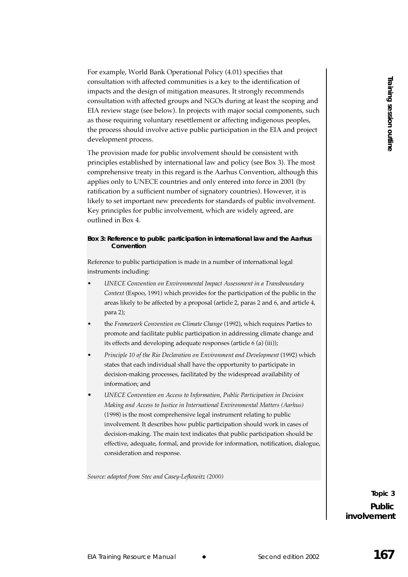For example, World Bank Operational Policy (4.01) specifies that consultation with affected communities is a key to the identification of impacts and the design of mitigation measures. It strongly recommends consultation with affected groups and NGOs during at least the scoping and EIA review stage (see below). In projects with major social components, such as those requiring voluntary resettlement or affecting indigenous peoples, the process should involve active public participation in the EIA and project development process.

The provision made for public involvement should be consistent with principles established by international law and policy (see Box 3). The most comprehensive treaty in this regard is the Aarhus Convention, although this applies only to UNECE countries and only entered into force in 2001 (by ratification by a sufficient number of signatory countries). However, it is likely to set important new precedents for standards of public involvement. Key principles for public involvement, which are widely agreed, are outlined in Box 4.

#### Box 3: Reference to public participation in international law and the Aarhus Convention

Reference to public participation is made in a number of international legal instruments including:

- UNECE Convention on Environmental Impact Assessment in a Transboundary Context (Espoo, 1991) which provides for the participation of the public in the areas likely to be affected by a proposal (article 2, paras 2 and 6, and article 4, para 2);
- the Framework Convention on Climate Change (1992), which requires Parties to promote and facilitate public participation in addressing climate change and its effects and developing adequate responses (article 6 (a) (iii));
- Principle 10 of the Rio Declaration on Environment and Development (1992) which states that each individual shall have the opportunity to participate in decision-making processes, facilitated by the widespread availability of information; and
- UNECE Convention on Access to Information, Public Participation in Decision Making and Access to Justice in International Environmental Matters (Aarhus) (1998) is the most comprehensive legal instrument relating to public involvement. It describes how public participation should work in cases of decision-making. The main text indicates that public participation should be effective, adequate, formal, and provide for information, notification, dialogue, consideration and response.

Source: adapted from Stec and Casey-Lefkowitz (2000)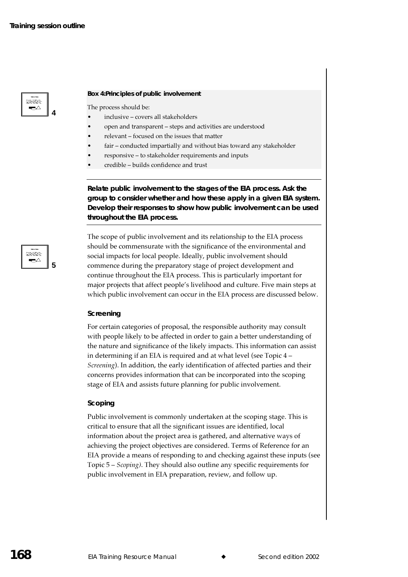

**4**

**5**

taanaa ⊷

#### **Box 4:Principles of public involvement**

The process should be:

- inclusive covers all stakeholders
- open and transparent steps and activities are understood
- relevant focused on the issues that matter
- fair conducted impartially and without bias toward any stakeholder
- responsive to stakeholder requirements and inputs
- credible builds confidence and trust

**Relate public involvement to the stages of the EIA process. Ask the group to consider whether and how these apply in a given EIA system. Develop their responses to show how public involvement can be used throughout the EIA process.** 

The scope of public involvement and its relationship to the EIA process should be commensurate with the significance of the environmental and social impacts for local people. Ideally, public involvement should commence during the preparatory stage of project development and continue throughout the EIA process. This is particularly important for major projects that affect people's livelihood and culture. Five main steps at which public involvement can occur in the EIA process are discussed below.

#### **Screening**

For certain categories of proposal, the responsible authority may consult with people likely to be affected in order to gain a better understanding of the nature and significance of the likely impacts. This information can assist in determining if an EIA is required and at what level (see Topic 4 – *Screening*). In addition, the early identification of affected parties and their concerns provides information that can be incorporated into the scoping stage of EIA and assists future planning for public involvement.

#### **Scoping**

Public involvement is commonly undertaken at the scoping stage. This is critical to ensure that all the significant issues are identified, local information about the project area is gathered, and alternative ways of achieving the project objectives are considered. Terms of Reference for an EIA provide a means of responding to and checking against these inputs (see Topic 5 – *Scoping*). They should also outline any specific requirements for public involvement in EIA preparation, review, and follow up.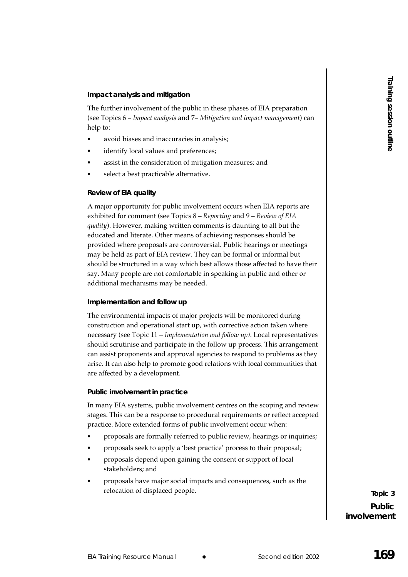#### Impact analysis and mitigation

The further involvement of the public in these phases of EIA preparation (see Topics 6 – Impact analysis and 7– Mitigation and impact management) can help to:

- avoid biases and inaccuracies in analysis;
- identify local values and preferences;
- assist in the consideration of mitigation measures; and
- select a best practicable alternative.

#### **Review of EIA quality**

A major opportunity for public involvement occurs when EIA reports are exhibited for comment (see Topics 8 – Reporting and 9 – Review of EIA quality). However, making written comments is daunting to all but the educated and literate. Other means of achieving responses should be provided where proposals are controversial. Public hearings or meetings may be held as part of EIA review. They can be formal or informal but should be structured in a way which best allows those affected to have their say. Many people are not comfortable in speaking in public and other or additional mechanisms may be needed.

#### Implementation and follow up

The environmental impacts of major projects will be monitored during construction and operational start up, with corrective action taken where necessary (see Topic 11 – Implementation and follow up). Local representatives should scrutinise and participate in the follow up process. This arrangement can assist proponents and approval agencies to respond to problems as they arise. It can also help to promote good relations with local communities that are affected by a development.

#### Public involvement in practice

In many EIA systems, public involvement centres on the scoping and review stages. This can be a response to procedural requirements or reflect accepted practice. More extended forms of public involvement occur when:

- proposals are formally referred to public review, hearings or inquiries;
- proposals seek to apply a 'best practice' process to their proposal;
- proposals depend upon gaining the consent or support of local stakeholders: and
- proposals have major social impacts and consequences, such as the relocation of displaced people.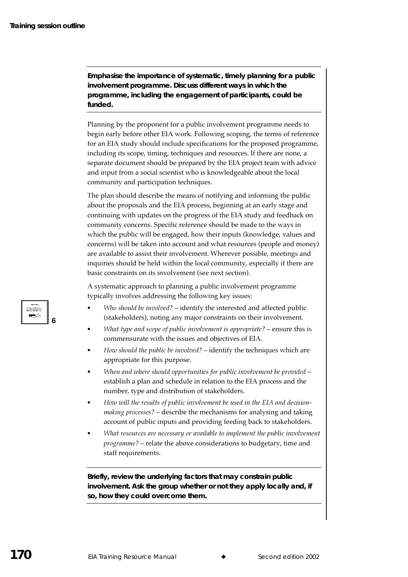**Emphasise the importance of systematic, timely planning for a public involvement programme. Discuss different ways in which the programme, including the engagement of participants, could be funded.** 

Planning by the proponent for a public involvement programme needs to begin early before other EIA work. Following scoping, the terms of reference for an EIA study should include specifications for the proposed programme, including its scope, timing, techniques and resources. If there are none, a separate document should be prepared by the EIA project team with advice and input from a social scientist who is knowledgeable about the local community and participation techniques.

The plan should describe the means of notifying and informing the public about the proposals and the EIA process, beginning at an early stage and continuing with updates on the progress of the EIA study and feedback on community concerns. Specific reference should be made to the ways in which the public will be engaged, how their inputs (knowledge, values and concerns) will be taken into account and what resources (people and money) are available to assist their involvement. Wherever possible, meetings and inquiries should be held within the local community, especially if there are basic constraints on its involvement (see next section).

A systematic approach to planning a public involvement programme typically involves addressing the following key issues:

- Who should be involved? identify the interested and affected public (stakeholders), noting any major constraints on their involvement.
- What type and scope of public involvement is appropriate?  $-$  ensure this is commensurate with the issues and objectives of EIA.
- How should the public be involved?  $-$  identify the techniques which are appropriate for this purpose.
- When and where should opportunities for public involvement be provided  $$ establish a plan and schedule in relation to the EIA process and the number, type and distribution of stakeholders.
- $\bullet$  How will the results of public involvement be used in the EIA and decision*making processes?* – describe the mechanisms for analysing and taking account of public inputs and providing feeding back to stakeholders.
- $\bullet$  What resources are necessary or available to implement the public involvement programme? – relate the above considerations to budgetary, time and staff requirements.

**Briefly, review the underlying factors that may constrain public involvement. Ask the group whether or not they apply locally and, if so, how they could overcome them.** 

tama

**6**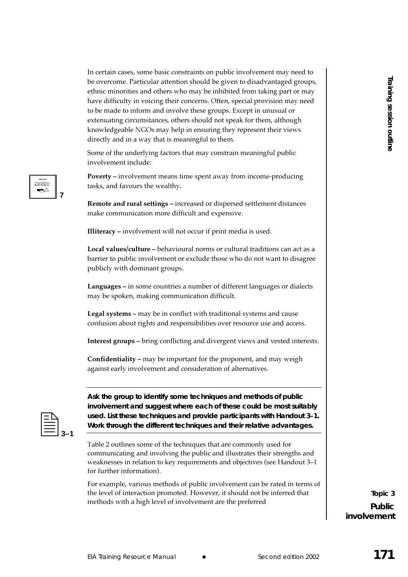Eo exercome Particular attention should be given to eliadocating groups.<br>
Resource Manual Training Herita centeres. Other, specific provide provide manual weak training the studient of the properties and the studient of th In certain cases, some basic constraints on public involvement may need to be overcome. Particular attention should be given to disadvantaged groups, ethnic minorities and others who may be inhibited from taking part or may have difficulty in voicing their concerns. Often, special provision may need to be made to inform and involve these groups. Except in unusual or extenuating circumstances, others should not speak for them, although knowledgeable NGOs may help in ensuring they represent their views directly and in a way that is meaningful to them.

Some of the underlying factors that may constrain meaningful public involvement include:

**Poverty** – involvement means time spent away from income-producing tasks, and favours the wealthy.

**Remote and rural settings –** increased or dispersed settlement distances make communication more difficult and expensive.

**Illiteracy –** involvement will not occur if print media is used.

**Local values/culture –** behavioural norms or cultural traditions can act as a barrier to public involvement or exclude those who do not want to disagree publicly with dominant groups.

**Languages –** in some countries a number of different languages or dialects may be spoken, making communication difficult.

**Legal systems –** may be in conflict with traditional systems and cause confusion about rights and responsibilities over resource use and access.

**Interest groups** – bring conflicting and divergent views and vested interests.

**Confidentiality –** may be important for the proponent, and may weigh against early involvement and consideration of alternatives.

**7**

Steate ⊷

> **Ask the group to identify some techniques and methods of public involvement and suggest where each of these could be most suitably used. List these techniques and provide participants with Handout 3–1. Work through the different techniques and their relative advantages.**

> Table 2 outlines some of the techniques that are commonly used for communicating and involving the public and illustrates their strengths and weaknesses in relation to key requirements and objectives (see Handout 3–1 for further information).

For example, various methods of public involvement can be rated in terms of the level of interaction promoted. However, it should not be inferred that methods with a high level of involvement are the preferred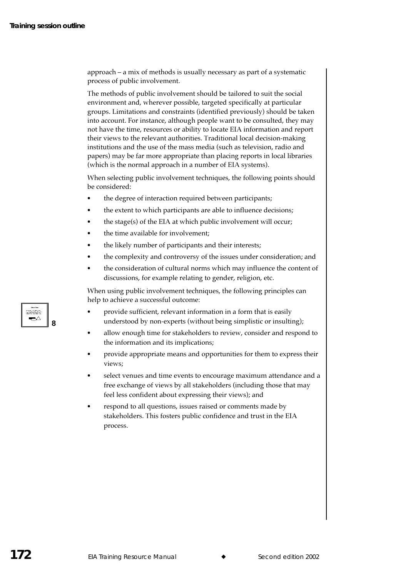approach – a mix of methods is usually necessary as part of a systematic process of public involvement.

The methods of public involvement should be tailored to suit the social environment and, wherever possible, targeted specifically at particular groups. Limitations and constraints (identified previously) should be taken into account. For instance, although people want to be consulted, they may not have the time, resources or ability to locate EIA information and report their views to the relevant authorities. Traditional local decision-making institutions and the use of the mass media (such as television, radio and papers) may be far more appropriate than placing reports in local libraries (which is the normal approach in a number of EIA systems).

When selecting public involvement techniques, the following points should be considered:

- the degree of interaction required between participants;
- the extent to which participants are able to influence decisions;
- the stage(s) of the EIA at which public involvement will occur;
- the time available for involvement;
- the likely number of participants and their interests;
- the complexity and controversy of the issues under consideration; and
- the consideration of cultural norms which may influence the content of discussions, for example relating to gender, religion, etc.

When using public involvement techniques, the following principles can help to achieve a successful outcome:

- provide sufficient, relevant information in a form that is easily understood by non-experts (without being simplistic or insulting);
- allow enough time for stakeholders to review, consider and respond to the information and its implications;
- provide appropriate means and opportunities for them to express their views;
- select venues and time events to encourage maximum attendance and a free exchange of views by all stakeholders (including those that may feel less confident about expressing their views); and
- respond to all questions, issues raised or comments made by stakeholders. This fosters public confidence and trust in the EIA process.

sama ឃ

Я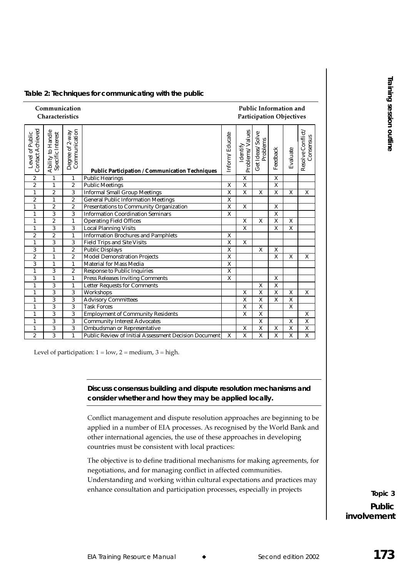|                                      | Communication<br>Characteristics        |                                      |                                                                                                                                                                                                                                                                                                          |                                                    |                                                    | Public Information and<br><b>Participation Objectives</b> |                                                    |                                                    |                                |                          |
|--------------------------------------|-----------------------------------------|--------------------------------------|----------------------------------------------------------------------------------------------------------------------------------------------------------------------------------------------------------------------------------------------------------------------------------------------------------|----------------------------------------------------|----------------------------------------------------|-----------------------------------------------------------|----------------------------------------------------|----------------------------------------------------|--------------------------------|--------------------------|
| <b>Contact Achieved</b>              | Ability to Handle<br>Specific Interest  | Degree of 2-way<br>Communication     | <b>Public Participation / Communication Techniques</b>                                                                                                                                                                                                                                                   | Inform/Educate                                     | Problems/Values<br>Identify                        | Get Ideas/Solve<br>Problems                               | Feedback                                           | Evaluate                                           | Resolve Conflict.<br>Consensus |                          |
| $\boldsymbol{2}$<br>$\boldsymbol{2}$ | $\mathbf{1}$                            | $\mathbf{1}$                         | <b>Public Hearings</b>                                                                                                                                                                                                                                                                                   |                                                    | $\overline{X}$                                     |                                                           | $\overline{X}$                                     |                                                    |                                |                          |
|                                      | $\mathbf{1}$<br>$\boldsymbol{2}$        | $\boldsymbol{2}$<br>$\boldsymbol{3}$ | <b>Public Meetings</b><br><b>Informal Small Group Meetings</b>                                                                                                                                                                                                                                           | $\overline{\textbf{X}}$<br>$\overline{\mathbf{X}}$ | $\overline{\mathbf{X}}$<br>$\overline{\mathbf{X}}$ | X                                                         | $\overline{\textbf{X}}$<br>$\overline{\mathbf{X}}$ | $\mathbf X$                                        | X                              |                          |
|                                      | $\mathbf{1}$                            | $\overline{2}$                       | <b>General Public Information Meetings</b>                                                                                                                                                                                                                                                               | $\overline{\mathbf{x}}$                            |                                                    |                                                           |                                                    |                                                    |                                |                          |
| $\overline{2}$<br>$\mathbf{1}$       | $\boldsymbol{2}$                        | $\boldsymbol{2}$                     | <b>Presentations to Community Organization</b>                                                                                                                                                                                                                                                           | $\overline{\mathbf{X}}$                            | $\boldsymbol{X}$                                   |                                                           | $\overline{\mathbf{X}}$                            |                                                    |                                |                          |
| $\mathbf{1}$                         | $\mathbf 3$                             | 3                                    | <b>Information Coordination Seminars</b>                                                                                                                                                                                                                                                                 | $\overline{\textbf{X}}$                            |                                                    |                                                           | $\overline{\textbf{X}}$                            |                                                    |                                |                          |
| $\mathbf{1}$                         | $\overline{2}$                          | $\mathbf{1}$                         | <b>Operating Field Offices</b>                                                                                                                                                                                                                                                                           |                                                    | $\boldsymbol{X}$                                   | $\mathbf X$                                               | $\overline{X}$                                     | $\mathbf X$                                        |                                |                          |
| $\mathbf{1}$                         | $\mathbf 3$                             | $\mathbf{3}$                         | <b>Local Planning Visits</b>                                                                                                                                                                                                                                                                             |                                                    | $\overline{\mathbf{X}}$                            |                                                           | $\overline{X}$                                     | $\overline{X}$                                     |                                |                          |
| $\boldsymbol{2}$                     | $\boldsymbol{2}$                        | $\mathbf{1}$                         | <b>Information Brochures and Pamphlets</b>                                                                                                                                                                                                                                                               | $\overline{\textbf{X}}$                            |                                                    |                                                           |                                                    |                                                    |                                |                          |
| $\mathbf{1}$                         | 3                                       | 3                                    | <b>Field Trips and Site Visits</b>                                                                                                                                                                                                                                                                       | $\mathbf X$<br>$\overline{\mathbf{X}}$             | $\mathbf X$                                        |                                                           |                                                    |                                                    |                                |                          |
| 3<br>$\overline{2}$                  | $\mathbf{1}$<br>$\mathbf{1}$            | $\boldsymbol{2}$<br>$\boldsymbol{2}$ | <b>Public Displays</b><br><b>Model Demonstration Projects</b>                                                                                                                                                                                                                                            | $\overline{\mathbf{X}}$                            |                                                    | $\mathbf X$                                               | $\mathbf X$<br>$\overline{\mathbf{X}}$             | $\mathbf X$                                        | X                              |                          |
| 3                                    | $\mathbf{1}$                            | $\mathbf{1}$                         | <b>Material for Mass Media</b>                                                                                                                                                                                                                                                                           | $\mathbf X$                                        |                                                    |                                                           |                                                    |                                                    |                                |                          |
| $\mathbf{1}$                         | 3                                       | $\boldsymbol{2}$                     | <b>Response to Public Inquiries</b>                                                                                                                                                                                                                                                                      | $\mathbf X$                                        |                                                    |                                                           |                                                    |                                                    |                                |                          |
| 3                                    | $\mathbf{1}$                            | $\mathbf{1}$                         | <b>Press Releases Inviting Comments</b>                                                                                                                                                                                                                                                                  | X                                                  |                                                    |                                                           | $\mathbf X$                                        |                                                    |                                |                          |
| $\mathbf{1}$                         | $\mathbf{3}$                            | $\mathbf{1}$                         | <b>Letter Requests for Comments</b>                                                                                                                                                                                                                                                                      |                                                    |                                                    | $\mathbf X$                                               | $\overline{\mathbf{X}}$                            |                                                    |                                |                          |
| $\mathbf{1}$                         | $\mathbf{3}$                            | 3                                    | Workshops                                                                                                                                                                                                                                                                                                |                                                    | $\mathbf{X}$                                       | $\overline{\mathbf{X}}$                                   | $\overline{\mathbf{X}}$                            | $\overline{\textbf{X}}$                            | $\boldsymbol{\mathrm{X}}$      |                          |
| $\mathbf{1}$                         | $\mathbf{3}$<br>$\overline{\mathbf{3}}$ | $\mathbf{3}$                         | <b>Advisory Committees</b>                                                                                                                                                                                                                                                                               |                                                    | $\overline{X}$<br>$\overline{\mathbf{X}}$          | $\overline{\mathbf{X}}$<br>$\overline{X}$                 | $\overline{X}$                                     | $\overline{\textbf{X}}$<br>$\overline{\mathbf{X}}$ |                                |                          |
| $\mathbf{1}$<br>$\mathbf{1}$         | 3                                       | $\boldsymbol{3}$<br>$\mathbf{3}$     | <b>Task Forces</b><br><b>Employment of Community Residents</b>                                                                                                                                                                                                                                           |                                                    | X                                                  | $\overline{\mathbf{X}}$                                   |                                                    |                                                    | $\mathbf X$                    |                          |
| $\mathbf{1}$                         | 3                                       | 3                                    | <b>Community Interest Advocates</b>                                                                                                                                                                                                                                                                      |                                                    |                                                    | $\overline{\mathbf{X}}$                                   |                                                    | $\mathbf X$                                        | $\mathbf X$                    |                          |
| $\mathbf{1}$                         | $\mathbf{3}$                            | $\mathbf{3}$                         | <b>Ombudsman or Representative</b>                                                                                                                                                                                                                                                                       |                                                    | $\mathbf X$                                        | $\overline{\mathbf{X}}$                                   | X                                                  | $\mathbf X$                                        | $\overline{\textbf{X}}$        |                          |
| $\overline{2}$                       | 3                                       | $\mathbf{1}$                         | <b>Public Review of Initial Assessment Decision Document</b>                                                                                                                                                                                                                                             | X                                                  | $\overline{\mathbf{X}}$                            | $\overline{\mathbf{X}}$                                   | $\overline{\mathbf{x}}$                            | $\overline{\mathbf{X}}$                            | $\overline{\mathbf{x}}$        |                          |
|                                      |                                         |                                      | Level of participation: $1 = low$ , $2 = medium$ , $3 = high$ .<br>Discuss consensus building and dispute resolution mechanisms and<br>consider whether and how they may be applied locally.<br>Conflict management and dispute resolution approaches are beginning to be                                |                                                    |                                                    |                                                           |                                                    |                                                    |                                |                          |
|                                      |                                         |                                      | applied in a number of EIA processes. As recognised by the World Bank and<br>other international agencies, the use of these approaches in developing<br>countries must be consistent with local practices:                                                                                               |                                                    |                                                    |                                                           |                                                    |                                                    |                                |                          |
|                                      |                                         |                                      | The objective is to define traditional mechanisms for making agreements, for<br>negotiations, and for managing conflict in affected communities.<br>Understanding and working within cultural expectations and practices may<br>enhance consultation and participation processes, especially in projects |                                                    |                                                    |                                                           |                                                    |                                                    |                                | Topic 3<br><b>Public</b> |
|                                      |                                         |                                      |                                                                                                                                                                                                                                                                                                          |                                                    |                                                    |                                                           |                                                    |                                                    |                                | involvement              |
|                                      |                                         |                                      |                                                                                                                                                                                                                                                                                                          |                                                    |                                                    |                                                           |                                                    |                                                    |                                |                          |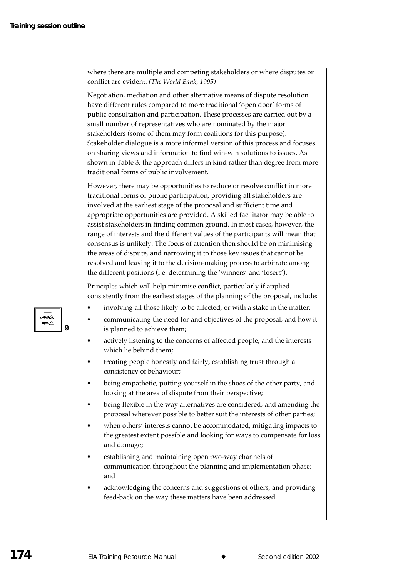where there are multiple and competing stakeholders or where disputes or conflict are evident. (The World Bank, 1995)

Negotiation, mediation and other alternative means of dispute resolution have different rules compared to more traditional 'open door' forms of public consultation and participation. These processes are carried out by a small number of representatives who are nominated by the major stakeholders (some of them may form coalitions for this purpose). Stakeholder dialogue is a more informal version of this process and focuses on sharing views and information to find win-win solutions to issues. As shown in Table 3, the approach differs in kind rather than degree from more traditional forms of public involvement.

However, there may be opportunities to reduce or resolve conflict in more traditional forms of public participation, providing all stakeholders are involved at the earliest stage of the proposal and sufficient time and appropriate opportunities are provided. A skilled facilitator may be able to assist stakeholders in finding common ground. In most cases, however, the range of interests and the different values of the participants will mean that consensus is unlikely. The focus of attention then should be on minimising the areas of dispute, and narrowing it to those key issues that cannot be resolved and leaving it to the decision-making process to arbitrate among the different positions (i.e. determining the 'winners' and 'losers').

Principles which will help minimise conflict, particularly if applied consistently from the earliest stages of the planning of the proposal, include:

- involving all those likely to be affected, or with a stake in the matter;
- communicating the need for and objectives of the proposal, and how it is planned to achieve them;
- actively listening to the concerns of affected people, and the interests which lie behind them;
- treating people honestly and fairly, establishing trust through a consistency of behaviour;
- being empathetic, putting yourself in the shoes of the other party, and looking at the area of dispute from their perspective;
- being flexible in the way alternatives are considered, and amending the proposal wherever possible to better suit the interests of other parties;
- when others' interests cannot be accommodated, mitigating impacts to the greatest extent possible and looking for ways to compensate for loss and damage;
- establishing and maintaining open two-way channels of communication throughout the planning and implementation phase; and
- acknowledging the concerns and suggestions of others, and providing feed-back on the way these matters have been addressed.

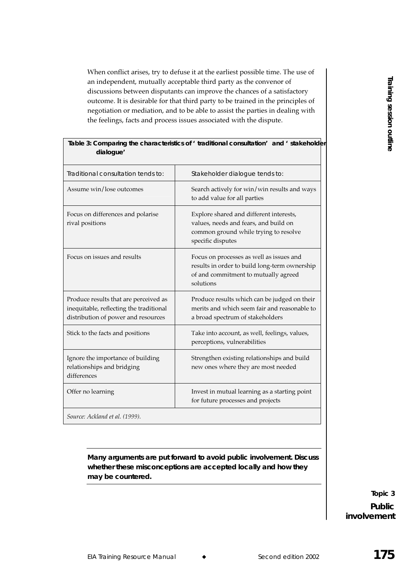When conflict arises, try to defuse it at the earliest possible time. The use of an independent, mutually acceptable third party as the convenor of discussions between disputants can improve the chances of a satisfactory outcome. It is desirable for that third party to be trained in the principles of negotiation or mediation, and to be able to assist the parties in dealing with the feelings, facts and process issues associated with the dispute.

| Traditional consultation tends to:<br>Stakeholder dialogue tends to:<br>Assume win/lose outcomes<br>Search actively for win/win results and ways<br>to add value for all parties<br>Explore shared and different interests,<br>Focus on differences and polarise<br>values, needs and fears, and build on<br>rival positions<br>common ground while trying to resolve<br>specific disputes<br>Focus on issues and results<br>Focus on processes as well as issues and<br>results in order to build long-term ownership<br>of and commitment to mutually agreed |  |
|----------------------------------------------------------------------------------------------------------------------------------------------------------------------------------------------------------------------------------------------------------------------------------------------------------------------------------------------------------------------------------------------------------------------------------------------------------------------------------------------------------------------------------------------------------------|--|
|                                                                                                                                                                                                                                                                                                                                                                                                                                                                                                                                                                |  |
|                                                                                                                                                                                                                                                                                                                                                                                                                                                                                                                                                                |  |
|                                                                                                                                                                                                                                                                                                                                                                                                                                                                                                                                                                |  |
| solutions                                                                                                                                                                                                                                                                                                                                                                                                                                                                                                                                                      |  |
| Produce results that are perceived as<br>Produce results which can be judged on their<br>merits and which seem fair and reasonable to<br>inequitable, reflecting the traditional<br>distribution of power and resources<br>a broad spectrum of stakeholders                                                                                                                                                                                                                                                                                                    |  |
| Stick to the facts and positions<br>Take into account, as well, feelings, values,<br>perceptions, vulnerabilities                                                                                                                                                                                                                                                                                                                                                                                                                                              |  |
| Ignore the importance of building<br>Strengthen existing relationships and build<br>relationships and bridging<br>new ones where they are most needed<br>differences                                                                                                                                                                                                                                                                                                                                                                                           |  |
| Offer no learning<br>Invest in mutual learning as a starting point<br>for future processes and projects                                                                                                                                                                                                                                                                                                                                                                                                                                                        |  |
| Source: Ackland et al. (1999).                                                                                                                                                                                                                                                                                                                                                                                                                                                                                                                                 |  |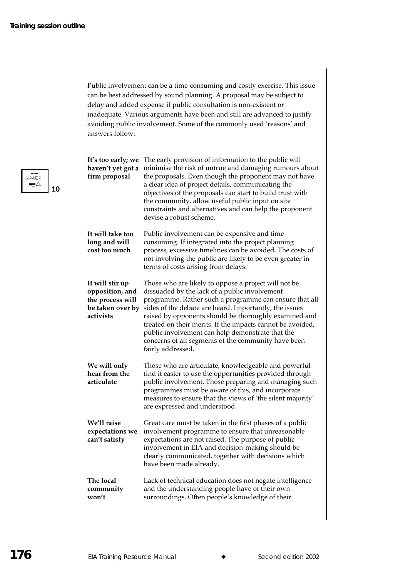Public involvement can be a time-consuming and costly exercise. This issue can be best addressed by sound planning. A proposal may be subject to delay and added expense if public consultation is non-existent or inadequate. Various arguments have been and still are advanced to justify avoiding public involvement. Some of the commonly used 'reasons' and answers follow:

| It's too early; we<br>haven't yet got a<br>firm proposal                                | The early provision of information to the public will<br>minimise the risk of untrue and damaging rumours about<br>the proposals. Even though the proponent may not have<br>a clear idea of project details, communicating the<br>objectives of the proposals can start to build trust with<br>the community, allow useful public input on site<br>constraints and alternatives and can help the proponent<br>devise a robust scheme.                                            |
|-----------------------------------------------------------------------------------------|----------------------------------------------------------------------------------------------------------------------------------------------------------------------------------------------------------------------------------------------------------------------------------------------------------------------------------------------------------------------------------------------------------------------------------------------------------------------------------|
| It will take too<br>long and will<br>cost too much                                      | Public involvement can be expensive and time-<br>consuming. If integrated into the project planning<br>process, excessive timelines can be avoided. The costs of<br>not involving the public are likely to be even greater in<br>terms of costs arising from delays.                                                                                                                                                                                                             |
| It will stir up<br>opposition, and<br>the process will<br>be taken over by<br>activists | Those who are likely to oppose a project will not be<br>dissuaded by the lack of a public involvement<br>programme. Rather such a programme can ensure that all<br>sides of the debate are heard. Importantly, the issues<br>raised by opponents should be thoroughly examined and<br>treated on their merits. If the impacts cannot be avoided,<br>public involvement can help demonstrate that the<br>concerns of all segments of the community have been<br>fairly addressed. |
| We will only<br>hear from the<br>articulate                                             | Those who are articulate, knowledgeable and powerful<br>find it easier to use the opportunities provided through<br>public involvement. Those preparing and managing such<br>programmes must be aware of this, and incorporate<br>measures to ensure that the views of 'the silent majority'<br>are expressed and understood.                                                                                                                                                    |
| We'll raise<br>expectations we<br>can't satisfy                                         | Great care must be taken in the first phases of a public<br>involvement programme to ensure that unreasonable<br>expectations are not raised. The purpose of public<br>involvement in EIA and decision-making should be<br>clearly communicated, together with decisions which<br>have been made already.                                                                                                                                                                        |
| The local<br>community<br>won't                                                         | Lack of technical education does not negate intelligence<br>and the understanding people have of their own<br>surroundings. Often people's knowledge of their                                                                                                                                                                                                                                                                                                                    |

 $\rightarrow$ 10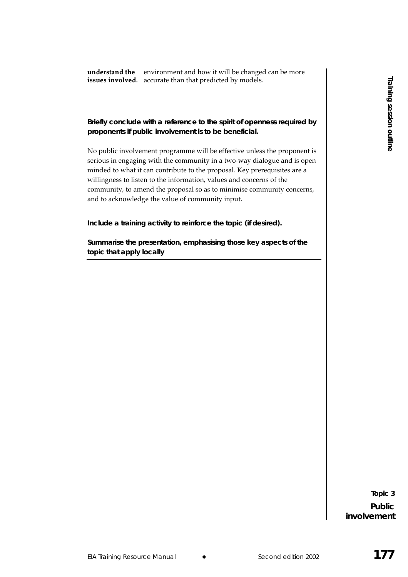**understand the** environment and how it will be changed can be more **issues involved.** accurate than that predicted by models.

#### **Briefly conclude with a reference to the spirit of openness required by proponents if public involvement is to be beneficial.**

Experimental that the property of the property of the state of the state of the state of the state of the state of the state of the state of the state of the state of the state of the state of the state of the state of the No public involvement programme will be effective unless the proponent is serious in engaging with the community in a two-way dialogue and is open minded to what it can contribute to the proposal. Key prerequisites are a willingness to listen to the information, values and concerns of the community, to amend the proposal so as to minimise community concerns, and to acknowledge the value of community input.

**Include a training activity to reinforce the topic (if desired).** 

**Summarise the presentation, emphasising those key aspects of the topic that apply locally**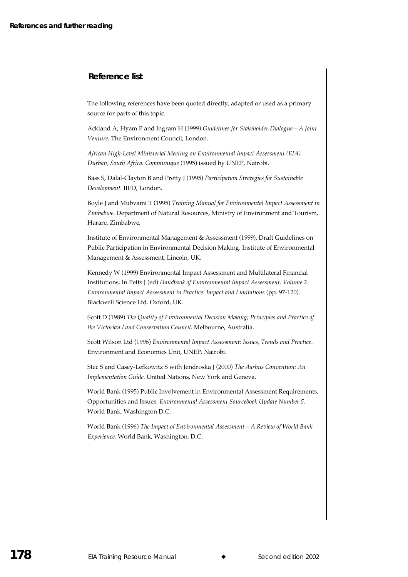#### **Reference list**

The following references have been quoted directly, adapted or used as a primary source for parts of this topic.

Ackland A, Hyam P and Ingram H (1999) Guidelines for Stakeholder Dialogue – A Joint Venture. The Environment Council, London.

African High-Level Ministerial Meeting on Environmental Impact Assessment (EIA) Durban, South Africa. Communique (1995) issued by UNEP, Nairobi.

Bass S, Dalal-Clayton B and Pretty J (1995) Participation Strategies for Sustainable Development. IIED, London.

Boyle J and Mubvami T (1995) Training Manual for Environmental Impact Assessment in Zimbabwe. Department of Natural Resources, Ministry of Environment and Tourism, Harare, Zimbabwe,

Institute of Environmental Management & Assessment (1999), Draft Guidelines on Public Participation in Environmental Decision Making. Institute of Environmental Management & Assessment, Lincoln, UK.

Kennedy W (1999) Environmental Impact Assessment and Multilateral Financial Institutions. In Petts J (ed) Handbook of Environmental Impact Assessment. Volume 2. Environmental Impact Assessment in Practice: Impact and Limitations (pp. 97-120). Blackwell Science Ltd. Oxford, UK.

Scott D (1989) The Quality of Environmental Decision Making; Principles and Practice of the Victorian Land Conservation Council. Melbourne, Australia.

Scott Wilson Ltd (1996) Environmental Impact Assessment: Issues, Trends and Practice. Environment and Economics Unit. UNEP. Nairobi.

Stec S and Casey-Lefkowitz S with Jendroska J (2000) The Aarhus Convention: An Implementation Guide. United Nations, New York and Geneva.

World Bank (1995) Public Involvement in Environmental Assessment Requirements, Opportunities and Issues. Environmental Assessment Sourcebook Update Number 5. World Bank, Washington D.C.

World Bank (1996) The Impact of Environmental Assessment - A Review of World Bank Experience. World Bank, Washington, D.C.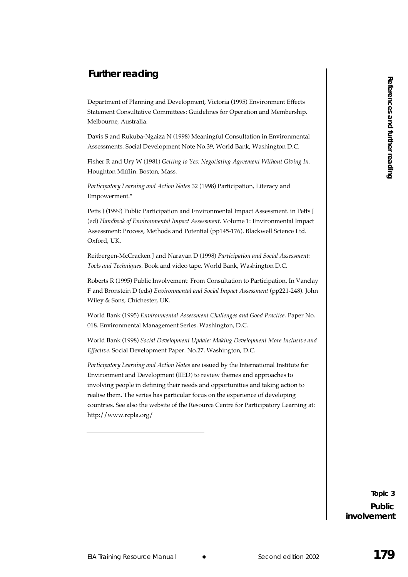## **Further reading**

Department of Planning and Development, Victoria (1995) Environment Effects Statement Consultative Committees: Guidelines for Operation and Membership. Melbourne, Australia.

Davis S and Rukuba-Ngaiza N (1998) Meaningful Consultation in Environmental Assessments. Social Development Note No.39, World Bank, Washington D.C.

Fisher R and Ury W (1981) Getting to Yes: Negotiating Agreement Without Giving In. Houghton Mifflin. Boston, Mass.

Participatory Learning and Action Notes 32 (1998) Participation, Literacy and Empowerment.\*

Petts J (1999) Public Participation and Environmental Impact Assessment. in Petts J (ed) Handbook of Environmental Impact Assessment. Volume 1: Environmental Impact Assessment: Process, Methods and Potential (pp145-176). Blackwell Science Ltd. Oxford, UK.

Reitbergen-McCracken J and Narayan D (1998) *Participation and Social Assessment:* Tools and Techniques. Book and video tape. World Bank, Washington D.C.

Roberts R (1995) Public Involvement: From Consultation to Participation. In Vanclay F and Bronstein D (eds) *Environmental and Social Impact Assessment* (pp221-248). John Wiley & Sons, Chichester, UK.

World Bank (1995) Environmental Assessment Challenges and Good Practice. Paper No. 018. Environmental Management Series. Washington, D.C.  $\,$ 

World Bank (1998) Social Development Update: Making Development More Inclusive and Effective. Social Development Paper. No.27. Washington, D.C.

EIN Training and Theodogreent, Victima (1998) Fourtements Firsts.<br>
Experiment of Manula is consistency Corresponding to Correspond the Manual Training Resources and Figure 179<br>
Moreovers, and Fainland Ngara X (1998) Meming Participatory Learning and Action Notes are issued by the International Institute for Environment and Development (IIED) to review themes and approaches to involving people in defining their needs and opportunities and taking action to realise them. The series has particular focus on the experience of developing countries. See also the website of the Resource Centre for Participatory Learning at: http://www.rcpla.org/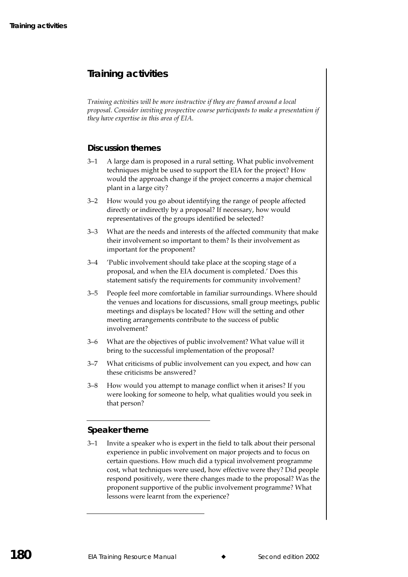## **Training activities**

Training activities will be more instructive if they are framed around a local proposal. Consider inviting prospective course participants to make a presentation if they have expertise in this area of EIA.

### **Discussion themes**

- $3 1$ A large dam is proposed in a rural setting. What public involvement techniques might be used to support the EIA for the project? How would the approach change if the project concerns a major chemical plant in a large city?
- $3 2$ How would you go about identifying the range of people affected directly or indirectly by a proposal? If necessary, how would representatives of the groups identified be selected?
- $3 3$ What are the needs and interests of the affected community that make their involvement so important to them? Is their involvement as important for the proponent?
- $3 4$ 'Public involvement should take place at the scoping stage of a proposal, and when the EIA document is completed.' Does this statement satisfy the requirements for community involvement?
- $3 5$ People feel more comfortable in familiar surroundings. Where should the venues and locations for discussions, small group meetings, public meetings and displays be located? How will the setting and other meeting arrangements contribute to the success of public involvement?
- $3 6$ What are the objectives of public involvement? What value will it bring to the successful implementation of the proposal?
- What criticisms of public involvement can you expect, and how can  $3 - 7$ these criticisms be answered?
- $3 8$ How would you attempt to manage conflict when it arises? If you were looking for someone to help, what qualities would you seek in that person?

## Speaker theme

 $3 - 1$ Invite a speaker who is expert in the field to talk about their personal experience in public involvement on major projects and to focus on certain questions. How much did a typical involvement programme cost, what techniques were used, how effective were they? Did people respond positively, were there changes made to the proposal? Was the proponent supportive of the public involvement programme? What lessons were learnt from the experience?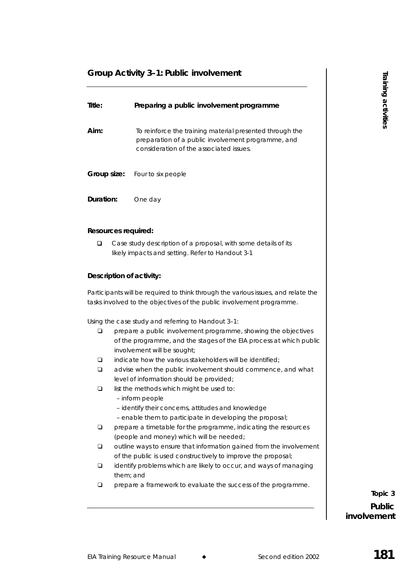## **Group Activity 3–1: Public involvement**

| Title:                   | Preparing a public involvement programme                                                                                                                                      | Training activities |
|--------------------------|-------------------------------------------------------------------------------------------------------------------------------------------------------------------------------|---------------------|
| Aim:                     | To reinforce the training material presented through the<br>preparation of a public involvement programme, and<br>consideration of the associated issues.                     |                     |
| Group size:              | Four to six people                                                                                                                                                            |                     |
| Duration:                | One day                                                                                                                                                                       |                     |
| Resources required:      |                                                                                                                                                                               |                     |
| ❏                        | Case study description of a proposal, with some details of its<br>likely impacts and setting. Refer to Handout 3-1                                                            |                     |
| Description of activity: |                                                                                                                                                                               |                     |
|                          | Participants will be required to think through the various issues, and relate the<br>tasks involved to the objectives of the public involvement programme.                    |                     |
|                          | Using the case study and referring to Handout 3-1:                                                                                                                            |                     |
| ❏                        | prepare a public involvement programme, showing the objectives<br>of the programme, and the stages of the EIA process at which public<br>involvement will be sought;          |                     |
| ▫                        | indicate how the various stakeholders will be identified;                                                                                                                     |                     |
| ▫                        | advise when the public involvement should commence, and what<br>level of information should be provided;                                                                      |                     |
| ❏                        | list the methods which might be used to:<br>- inform people<br>- identify their concerns, attitudes and knowledge<br>- enable them to participate in developing the proposal; |                     |
| ⊔                        | prepare a timetable for the programme, indicating the resources                                                                                                               |                     |
| ▫                        | (people and money) which will be needed;<br>outline ways to ensure that information gained from the involvement                                                               |                     |
| ▫<br>them; and           | of the public is used constructively to improve the proposal;<br>identify problems which are likely to occur, and ways of managing                                            |                     |
| ▫                        | prepare a framework to evaluate the success of the programme.                                                                                                                 | Topic 3             |
|                          |                                                                                                                                                                               | <b>Public</b>       |
|                          |                                                                                                                                                                               | involvement         |
|                          |                                                                                                                                                                               |                     |
|                          | <b>EIA Training Resource Manual</b><br>Second edition 2002                                                                                                                    | 181                 |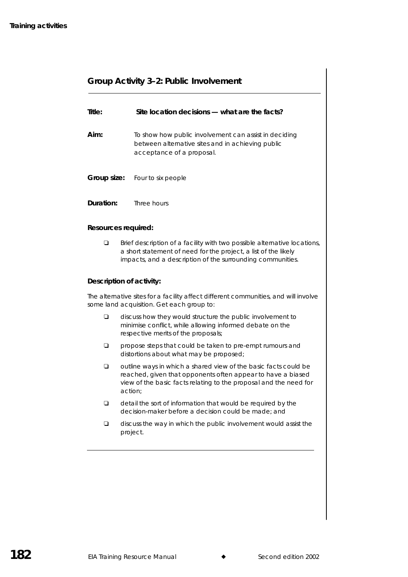## **Group Activity 3–2: Public Involvement**

| Title:    | Site location decisions — what are the facts?                                                                                           |
|-----------|-----------------------------------------------------------------------------------------------------------------------------------------|
| Aim:      | To show how public involvement can assist in deciding<br>between alternative sites and in achieving public<br>acceptance of a proposal. |
|           | <b>Group size:</b> Four to six people                                                                                                   |
| Duration: | Three hours                                                                                                                             |

#### **Resources required:**

 $\Box$  Brief description of a facility with two possible alternative locations, a short statement of need for the project, a list of the likely impacts, and a description of the surrounding communities.

#### **Description of activity:**

The alternative sites for a facility affect different communities, and will involve some land acquisition. Get each group to:

- $\Box$  discuss how they would structure the public involvement to minimise conflict, while allowing informed debate on the respective merits of the proposals;
- $\Box$  propose steps that could be taken to pre-empt rumours and distortions about what may be proposed;
- $\Box$  outline ways in which a shared view of the basic facts could be reached, given that opponents often appear to have a biased view of the basic facts relating to the proposal and the need for action;
- $\Box$  detail the sort of information that would be required by the decision-maker before a decision could be made; and
- $\Box$  discuss the way in which the public involvement would assist the project.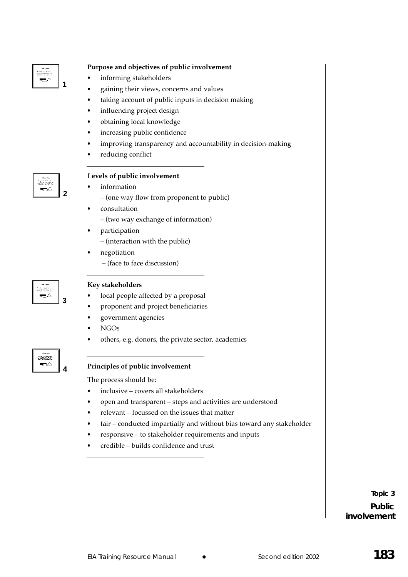

#### Purpose and objectives of public involvement

- informing stakeholders
- gaining their views, concerns and values
- taking account of public inputs in decision making
- influencing project design
- obtaining local knowledge
- increasing public confidence
- improving transparency and accountability in decision-making
- reducing conflict



#### Levels of public involvement

- information
	- (one way flow from proponent to public)
	- consultation
	- (two way exchange of information)
	- participation - (interaction with the public)
- negotiation - (face to face discussion)

| <b>SIMMY1M</b><br>- Story No. 141 Mill of No.<br><b>SACTOS</b> |  |
|----------------------------------------------------------------|--|
|                                                                |  |

#### Key stakeholders

- local people affected by a proposal
- proponent and project beneficiaries
- government agencies
- **NGOs**
- others, e.g. donors, the private sector, academics

## <u>Stanisti</u> ◛

#### Principles of public involvement

The process should be:

- inclusive covers all stakeholders
- open and transparent steps and activities are understood
- relevant focussed on the issues that matter
- fair conducted impartially and without bias toward any stakeholder
- responsive to stakeholder requirements and inputs
- credible builds confidence and trust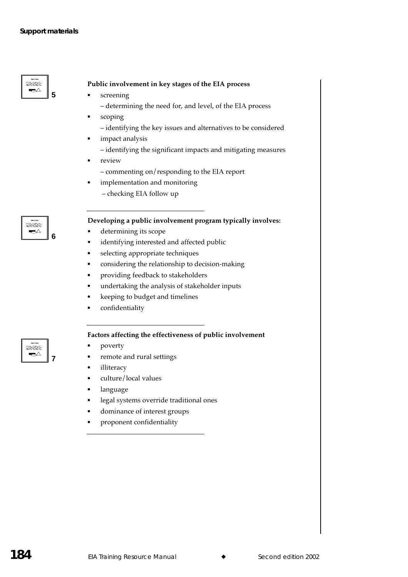#### $\Rightarrow$ 5

<u>tamat</u>  $\Rightarrow$ 

iainar ┯∆

7

 $6\phantom{1}6$ 

#### Public involvement in key stages of the EIA process

- screening
	- determining the need for, and level, of the EIA process
- scoping - identifying the key issues and alternatives to be considered
- impact analysis
	- identifying the significant impacts and mitigating measures
- review
	- commenting on/responding to the EIA report
- implementation and monitoring
	- checking EIA follow up

## Developing a public involvement program typically involves:

- determining its scope
- identifying interested and affected public
- selecting appropriate techniques
- considering the relationship to decision-making
- providing feedback to stakeholders
- undertaking the analysis of stakeholder inputs
- keeping to budget and timelines
- confidentiality

#### Factors affecting the effectiveness of public involvement

- poverty
- remote and rural settings
- illiteracy
- culture/local values
- language
- legal systems override traditional ones
- dominance of interest groups
- proponent confidentiality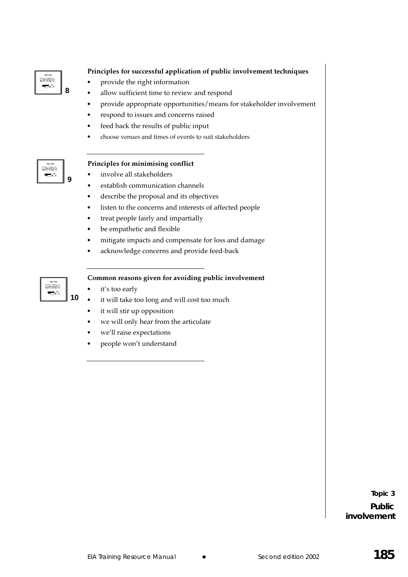| <b>SIMMY10</b><br><b>Chairman Call Miller Company</b><br>aganiag |  |
|------------------------------------------------------------------|--|
|------------------------------------------------------------------|--|

## Principles for successful application of public involvement techniques

- provide the right information
- allow sufficient time to review and respond
- provide appropriate opportunities/means for stakeholder involvement
- respond to issues and concerns raised
- feed back the results of public input
- choose venues and times of events to suit stakeholders

| <b>SIMMY1M</b><br>State Sec. 24 E. Sale of Sec.<br>the first state and on home<br><b>ERSTRICT</b> |
|---------------------------------------------------------------------------------------------------|
|                                                                                                   |

9

#### Principles for minimising conflict

- involve all stakeholders
- establish communication channels
- describe the proposal and its objectives
- listen to the concerns and interests of affected people
- treat people fairly and impartially
- be empathetic and flexible
- mitigate impacts and compensate for loss and damage
- acknowledge concerns and provide feed-back

| <b>SHAWTHM</b>                                    |  |
|---------------------------------------------------|--|
| <b>Mar 2.4 E Mill 19 Mar</b><br><b>SACTOSTICS</b> |  |
|                                                   |  |
|                                                   |  |

#### Common reasons given for avoiding public involvement

- it's too early
- it will take too long and will cost too much
- it will stir up opposition
- we will only hear from the articulate
- we'll raise expectations
- people won't understand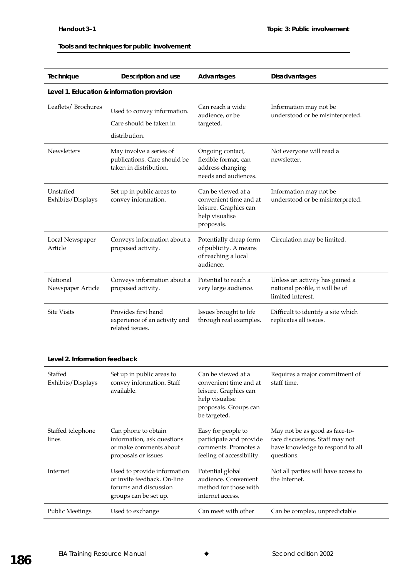#### Tools and techniques for public involvement

| Technique                                  | Description and use                                                                                          | Advantages                                                                                                                       | <b>Disadvantages</b>                                                                                                |  |  |
|--------------------------------------------|--------------------------------------------------------------------------------------------------------------|----------------------------------------------------------------------------------------------------------------------------------|---------------------------------------------------------------------------------------------------------------------|--|--|
| Level 1. Education & information provision |                                                                                                              |                                                                                                                                  |                                                                                                                     |  |  |
| Leaflets/Brochures                         | Used to convey information.<br>Care should be taken in<br>distribution.                                      | Can reach a wide<br>audience, or be<br>targeted.                                                                                 | Information may not be<br>understood or be misinterpreted.                                                          |  |  |
| <b>Newsletters</b>                         | May involve a series of<br>publications. Care should be<br>taken in distribution.                            | Ongoing contact,<br>flexible format, can<br>address changing<br>needs and audiences.                                             | Not everyone will read a<br>newsletter.                                                                             |  |  |
| Unstaffed<br>Exhibits/Displays             | Set up in public areas to<br>convey information.                                                             | Can be viewed at a<br>convenient time and at<br>leisure. Graphics can<br>help visualise<br>proposals.                            | Information may not be<br>understood or be misinterpreted.                                                          |  |  |
| Local Newspaper<br>Article                 | Conveys information about a<br>proposed activity.                                                            | Potentially cheap form<br>of publicity. A means<br>of reaching a local<br>audience.                                              | Circulation may be limited.                                                                                         |  |  |
| National<br>Newspaper Article              | Conveys information about a<br>proposed activity.                                                            | Potential to reach a<br>very large audience.                                                                                     | Unless an activity has gained a<br>national profile, it will be of<br>limited interest.                             |  |  |
| <b>Site Visits</b>                         | Provides first hand<br>experience of an activity and<br>related issues.                                      | Issues brought to life<br>through real examples.                                                                                 | Difficult to identify a site which<br>replicates all issues.                                                        |  |  |
| Level 2. Information feedback              |                                                                                                              |                                                                                                                                  |                                                                                                                     |  |  |
| Staffed<br>Exhibits/Displays               | Set up in public areas to<br>convey information. Staff<br>available.                                         | Can be viewed at a<br>convenient time and at<br>leisure. Graphics can<br>help visualise<br>proposals. Groups can<br>be targeted. | Requires a major commitment of<br>staff time.                                                                       |  |  |
| Staffed telephone<br>lines                 | Can phone to obtain<br>information, ask questions<br>or make comments about<br>proposals or issues           | Easy for people to<br>participate and provide<br>comments. Promotes a<br>feeling of accessibility.                               | May not be as good as face-to-<br>face discussions. Staff may not<br>have knowledge to respond to all<br>questions. |  |  |
| Internet                                   | Used to provide information<br>or invite feedback. On-line<br>forums and discussion<br>groups can be set up. | Potential global<br>audience. Convenient<br>method for those with<br>internet access.                                            | Not all parties will have access to<br>the Internet.                                                                |  |  |
| <b>Public Meetings</b>                     | Used to exchange                                                                                             | Can meet with other                                                                                                              | Can be complex, unpredictable                                                                                       |  |  |